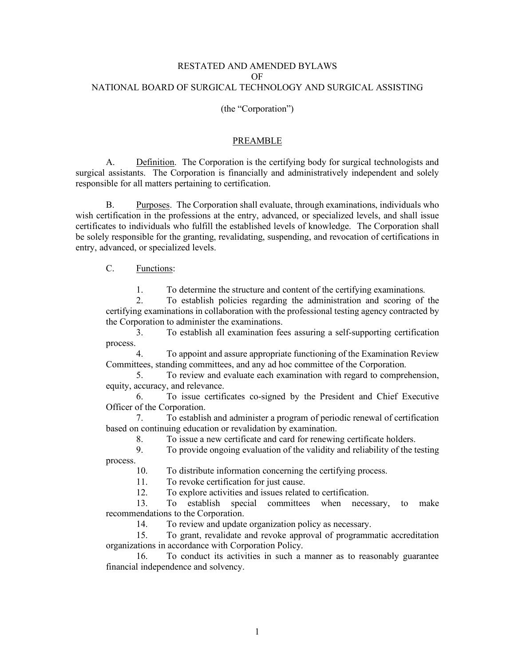#### RESTATED AND AMENDED BYLAWS OF NATIONAL BOARD OF SURGICAL TECHNOLOGY AND SURGICAL ASSISTING

#### (the "Corporation")

#### PREAMBLE

A. Definition. The Corporation is the certifying body for surgical technologists and surgical assistants. The Corporation is financially and administratively independent and solely responsible for all matters pertaining to certification.

B. Purposes. The Corporation shall evaluate, through examinations, individuals who wish certification in the professions at the entry, advanced, or specialized levels, and shall issue certificates to individuals who fulfill the established levels of knowledge. The Corporation shall be solely responsible for the granting, revalidating, suspending, and revocation of certifications in entry, advanced, or specialized levels.

### C. Functions:

1. To determine the structure and content of the certifying examinations.

2. To establish policies regarding the administration and scoring of the certifying examinations in collaboration with the professional testing agency contracted by the Corporation to administer the examinations.

3. To establish all examination fees assuring a self-supporting certification process.

4. To appoint and assure appropriate functioning of the Examination Review Committees, standing committees, and any ad hoc committee of the Corporation.

5. To review and evaluate each examination with regard to comprehension, equity, accuracy, and relevance.

6. To issue certificates co-signed by the President and Chief Executive Officer of the Corporation.

7. To establish and administer a program of periodic renewal of certification based on continuing education or revalidation by examination.

8. To issue a new certificate and card for renewing certificate holders.

9. To provide ongoing evaluation of the validity and reliability of the testing process.

10. To distribute information concerning the certifying process.

11. To revoke certification for just cause.

12. To explore activities and issues related to certification.

13. To establish special committees when necessary, to make recommendations to the Corporation.

14. To review and update organization policy as necessary.

15. To grant, revalidate and revoke approval of programmatic accreditation organizations in accordance with Corporation Policy.

16. To conduct its activities in such a manner as to reasonably guarantee financial independence and solvency.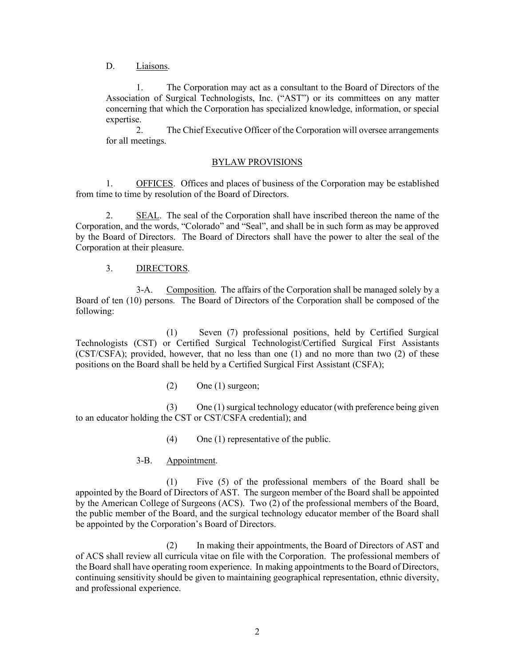D. Liaisons.

1. The Corporation may act as a consultant to the Board of Directors of the Association of Surgical Technologists, Inc. ("AST") or its committees on any matter concerning that which the Corporation has specialized knowledge, information, or special expertise.

2. The Chief Executive Officer of the Corporation will oversee arrangements for all meetings.

### BYLAW PROVISIONS

1. OFFICES. Offices and places of business of the Corporation may be established from time to time by resolution of the Board of Directors.

2. SEAL. The seal of the Corporation shall have inscribed thereon the name of the Corporation, and the words, "Colorado" and "Seal", and shall be in such form as may be approved by the Board of Directors. The Board of Directors shall have the power to alter the seal of the Corporation at their pleasure.

### 3. DIRECTORS.

3-A. Composition. The affairs of the Corporation shall be managed solely by a Board of ten (10) persons. The Board of Directors of the Corporation shall be composed of the following:

(1) Seven (7) professional positions, held by Certified Surgical Technologists (CST) or Certified Surgical Technologist/Certified Surgical First Assistants (CST/CSFA); provided, however, that no less than one (1) and no more than two (2) of these positions on the Board shall be held by a Certified Surgical First Assistant (CSFA);

(2) One (1) surgeon;

(3) One (1) surgical technology educator (with preference being given to an educator holding the CST or CST/CSFA credential); and

(4) One (1) representative of the public.

### 3-B. Appointment.

(1) Five (5) of the professional members of the Board shall be appointed by the Board of Directors of AST. The surgeon member of the Board shall be appointed by the American College of Surgeons (ACS). Two (2) of the professional members of the Board, the public member of the Board, and the surgical technology educator member of the Board shall be appointed by the Corporation's Board of Directors.

(2) In making their appointments, the Board of Directors of AST and of ACS shall review all curricula vitae on file with the Corporation. The professional members of the Board shall have operating room experience. In making appointments to the Board of Directors, continuing sensitivity should be given to maintaining geographical representation, ethnic diversity, and professional experience.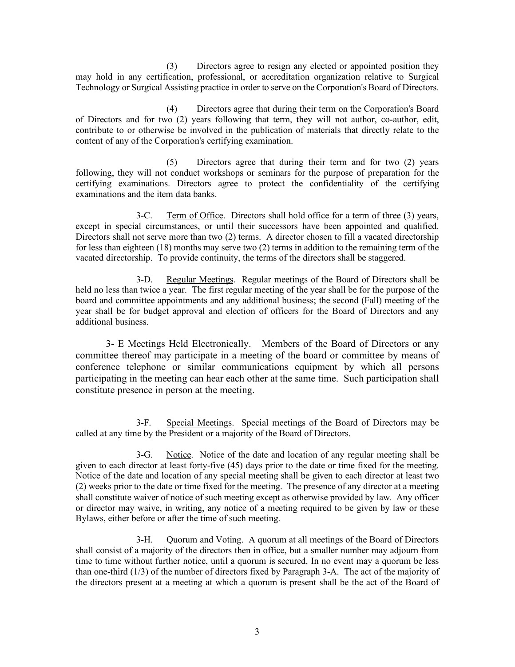(3) Directors agree to resign any elected or appointed position they may hold in any certification, professional, or accreditation organization relative to Surgical Technology or Surgical Assisting practice in order to serve on the Corporation's Board of Directors.

(4) Directors agree that during their term on the Corporation's Board of Directors and for two (2) years following that term, they will not author, co-author, edit, contribute to or otherwise be involved in the publication of materials that directly relate to the content of any of the Corporation's certifying examination.

(5) Directors agree that during their term and for two (2) years following, they will not conduct workshops or seminars for the purpose of preparation for the certifying examinations. Directors agree to protect the confidentiality of the certifying examinations and the item data banks.

3-C. Term of Office. Directors shall hold office for a term of three (3) years, except in special circumstances, or until their successors have been appointed and qualified. Directors shall not serve more than two (2) terms. A director chosen to fill a vacated directorship for less than eighteen (18) months may serve two (2) terms in addition to the remaining term of the vacated directorship. To provide continuity, the terms of the directors shall be staggered.

3-D. Regular Meetings. Regular meetings of the Board of Directors shall be held no less than twice a year. The first regular meeting of the year shall be for the purpose of the board and committee appointments and any additional business; the second (Fall) meeting of the year shall be for budget approval and election of officers for the Board of Directors and any additional business.

3- E Meetings Held Electronically. Members of the Board of Directors or any committee thereof may participate in a meeting of the board or committee by means of conference telephone or similar communications equipment by which all persons participating in the meeting can hear each other at the same time. Such participation shall constitute presence in person at the meeting.

3-F. Special Meetings. Special meetings of the Board of Directors may be called at any time by the President or a majority of the Board of Directors.

3-G. Notice. Notice of the date and location of any regular meeting shall be given to each director at least forty-five (45) days prior to the date or time fixed for the meeting. Notice of the date and location of any special meeting shall be given to each director at least two (2) weeks prior to the date or time fixed for the meeting. The presence of any director at a meeting shall constitute waiver of notice of such meeting except as otherwise provided by law. Any officer or director may waive, in writing, any notice of a meeting required to be given by law or these Bylaws, either before or after the time of such meeting.

3-H. Quorum and Voting. A quorum at all meetings of the Board of Directors shall consist of a majority of the directors then in office, but a smaller number may adjourn from time to time without further notice, until a quorum is secured. In no event may a quorum be less than one-third (1/3) of the number of directors fixed by Paragraph 3-A. The act of the majority of the directors present at a meeting at which a quorum is present shall be the act of the Board of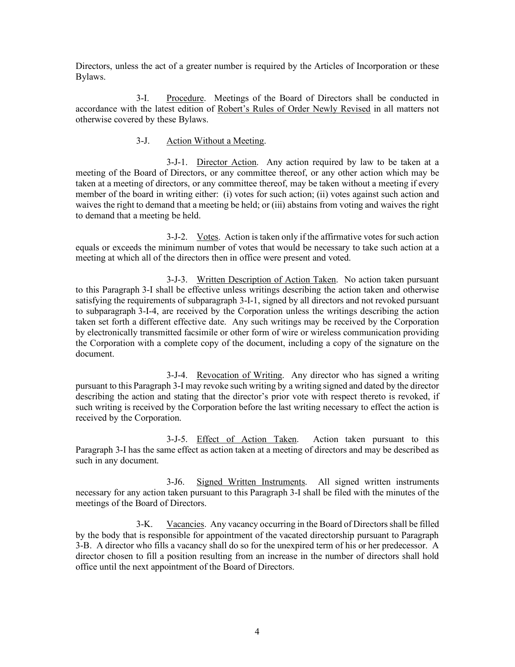Directors, unless the act of a greater number is required by the Articles of Incorporation or these Bylaws.

3-I. Procedure. Meetings of the Board of Directors shall be conducted in accordance with the latest edition of Robert's Rules of Order Newly Revised in all matters not otherwise covered by these Bylaws.

#### 3-J. Action Without a Meeting.

3-J-1. Director Action. Any action required by law to be taken at a meeting of the Board of Directors, or any committee thereof, or any other action which may be taken at a meeting of directors, or any committee thereof, may be taken without a meeting if every member of the board in writing either: (i) votes for such action; (ii) votes against such action and waives the right to demand that a meeting be held; or (iii) abstains from voting and waives the right to demand that a meeting be held.

3-J-2. Votes. Action is taken only if the affirmative votes for such action equals or exceeds the minimum number of votes that would be necessary to take such action at a meeting at which all of the directors then in office were present and voted.

3-J-3. Written Description of Action Taken. No action taken pursuant to this Paragraph 3-I shall be effective unless writings describing the action taken and otherwise satisfying the requirements of subparagraph 3-I-1, signed by all directors and not revoked pursuant to subparagraph 3-I-4, are received by the Corporation unless the writings describing the action taken set forth a different effective date. Any such writings may be received by the Corporation by electronically transmitted facsimile or other form of wire or wireless communication providing the Corporation with a complete copy of the document, including a copy of the signature on the document.

3-J-4. Revocation of Writing. Any director who has signed a writing pursuant to this Paragraph 3-I may revoke such writing by a writing signed and dated by the director describing the action and stating that the director's prior vote with respect thereto is revoked, if such writing is received by the Corporation before the last writing necessary to effect the action is received by the Corporation.

3-J-5. Effect of Action Taken. Action taken pursuant to this Paragraph 3-I has the same effect as action taken at a meeting of directors and may be described as such in any document.

3-J6. Signed Written Instruments. All signed written instruments necessary for any action taken pursuant to this Paragraph 3-I shall be filed with the minutes of the meetings of the Board of Directors.

3-K. Vacancies. Any vacancy occurring in the Board of Directors shall be filled by the body that is responsible for appointment of the vacated directorship pursuant to Paragraph 3-B. A director who fills a vacancy shall do so for the unexpired term of his or her predecessor. A director chosen to fill a position resulting from an increase in the number of directors shall hold office until the next appointment of the Board of Directors.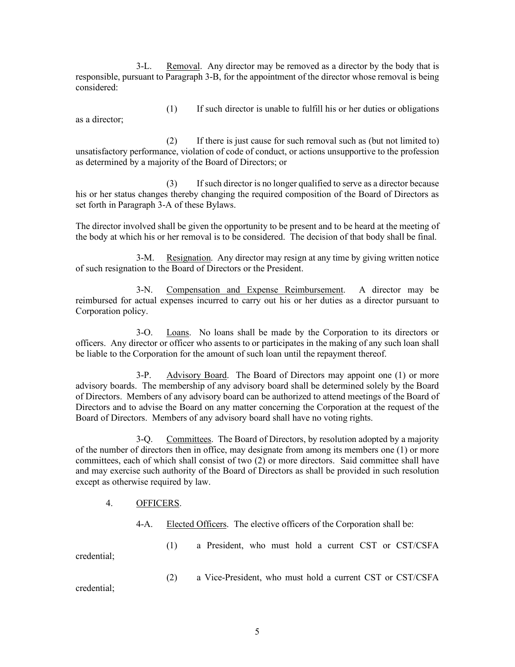3-L. Removal. Any director may be removed as a director by the body that is responsible, pursuant to Paragraph 3-B, for the appointment of the director whose removal is being considered:

as a director;

(1) If such director is unable to fulfill his or her duties or obligations

(2) If there is just cause for such removal such as (but not limited to) unsatisfactory performance, violation of code of conduct, or actions unsupportive to the profession as determined by a majority of the Board of Directors; or

(3) If such director is no longer qualified to serve as a director because his or her status changes thereby changing the required composition of the Board of Directors as set forth in Paragraph 3-A of these Bylaws.

The director involved shall be given the opportunity to be present and to be heard at the meeting of the body at which his or her removal is to be considered. The decision of that body shall be final.

3-M. Resignation. Any director may resign at any time by giving written notice of such resignation to the Board of Directors or the President.

3-N. Compensation and Expense Reimbursement. A director may be reimbursed for actual expenses incurred to carry out his or her duties as a director pursuant to Corporation policy.

3-O. Loans. No loans shall be made by the Corporation to its directors or officers. Any director or officer who assents to or participates in the making of any such loan shall be liable to the Corporation for the amount of such loan until the repayment thereof.

3-P. Advisory Board. The Board of Directors may appoint one (1) or more advisory boards. The membership of any advisory board shall be determined solely by the Board of Directors. Members of any advisory board can be authorized to attend meetings of the Board of Directors and to advise the Board on any matter concerning the Corporation at the request of the Board of Directors. Members of any advisory board shall have no voting rights.

3-Q. Committees. The Board of Directors, by resolution adopted by a majority of the number of directors then in office, may designate from among its members one (1) or more committees, each of which shall consist of two (2) or more directors. Said committee shall have and may exercise such authority of the Board of Directors as shall be provided in such resolution except as otherwise required by law.

### 4. OFFICERS.

4-A. Elected Officers. The elective officers of the Corporation shall be:

credential;

(1) a President, who must hold a current CST or CST/CSFA

(2) a Vice-President, who must hold a current CST or CST/CSFA

credential;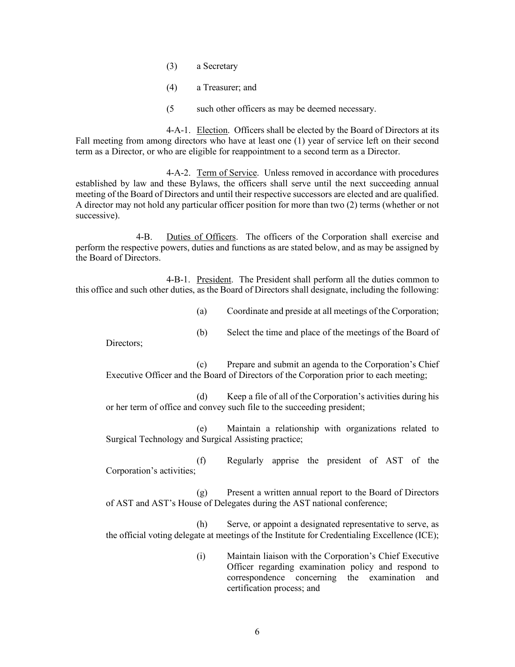- (3) a Secretary
- (4) a Treasurer; and
- (5 such other officers as may be deemed necessary.

4-A-1. Election. Officers shall be elected by the Board of Directors at its Fall meeting from among directors who have at least one (1) year of service left on their second term as a Director, or who are eligible for reappointment to a second term as a Director.

4-A-2. Term of Service. Unless removed in accordance with procedures established by law and these Bylaws, the officers shall serve until the next succeeding annual meeting of the Board of Directors and until their respective successors are elected and are qualified. A director may not hold any particular officer position for more than two (2) terms (whether or not successive).

4-B. Duties of Officers. The officers of the Corporation shall exercise and perform the respective powers, duties and functions as are stated below, and as may be assigned by the Board of Directors.

4-B-1. President. The President shall perform all the duties common to this office and such other duties, as the Board of Directors shall designate, including the following:

(a) Coordinate and preside at all meetings of the Corporation;

(b) Select the time and place of the meetings of the Board of

Directors;

(c) Prepare and submit an agenda to the Corporation's Chief Executive Officer and the Board of Directors of the Corporation prior to each meeting;

(d) Keep a file of all of the Corporation's activities during his or her term of office and convey such file to the succeeding president;

(e) Maintain a relationship with organizations related to Surgical Technology and Surgical Assisting practice;

(f) Regularly apprise the president of AST of the Corporation's activities;

(g) Present a written annual report to the Board of Directors of AST and AST's House of Delegates during the AST national conference;

(h) Serve, or appoint a designated representative to serve, as the official voting delegate at meetings of the Institute for Credentialing Excellence (ICE);

> (i) Maintain liaison with the Corporation's Chief Executive Officer regarding examination policy and respond to correspondence concerning the examination and certification process; and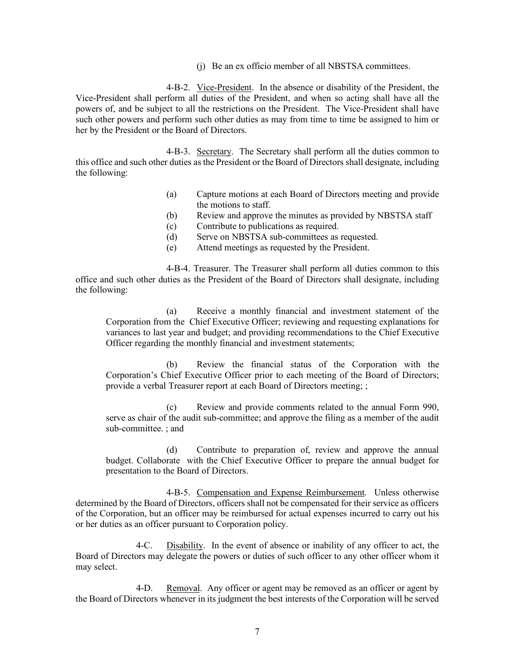(j) Be an ex officio member of all NBSTSA committees.

4-B-2. Vice-President. In the absence or disability of the President, the Vice-President shall perform all duties of the President, and when so acting shall have all the powers of, and be subject to all the restrictions on the President. The Vice-President shall have such other powers and perform such other duties as may from time to time be assigned to him or her by the President or the Board of Directors.

4-B-3. Secretary. The Secretary shall perform all the duties common to this office and such other duties as the President or the Board of Directors shall designate, including the following:

- (a) Capture motions at each Board of Directors meeting and provide the motions to staff.
- (b) Review and approve the minutes as provided by NBSTSA staff
- (c) Contribute to publications as required.
- (d) Serve on NBSTSA sub-committees as requested.
- (e) Attend meetings as requested by the President.

4-B-4. Treasurer. The Treasurer shall perform all duties common to this office and such other duties as the President of the Board of Directors shall designate, including the following:

(a) Receive a monthly financial and investment statement of the Corporation from the Chief Executive Officer; reviewing and requesting explanations for variances to last year and budget; and providing recommendations to the Chief Executive Officer regarding the monthly financial and investment statements;

(b) Review the financial status of the Corporation with the Corporation's Chief Executive Officer prior to each meeting of the Board of Directors; provide a verbal Treasurer report at each Board of Directors meeting; ;

(c) Review and provide comments related to the annual Form 990, serve as chair of the audit sub-committee; and approve the filing as a member of the audit sub-committee. ; and

(d) Contribute to preparation of, review and approve the annual budget. Collaborate with the Chief Executive Officer to prepare the annual budget for presentation to the Board of Directors.

4-B-5. Compensation and Expense Reimbursement. Unless otherwise determined by the Board of Directors, officers shall not be compensated for their service as officers of the Corporation, but an officer may be reimbursed for actual expenses incurred to carry out his or her duties as an officer pursuant to Corporation policy.

4-C. Disability. In the event of absence or inability of any officer to act, the Board of Directors may delegate the powers or duties of such officer to any other officer whom it may select.

4-D. Removal. Any officer or agent may be removed as an officer or agent by the Board of Directors whenever in its judgment the best interests of the Corporation will be served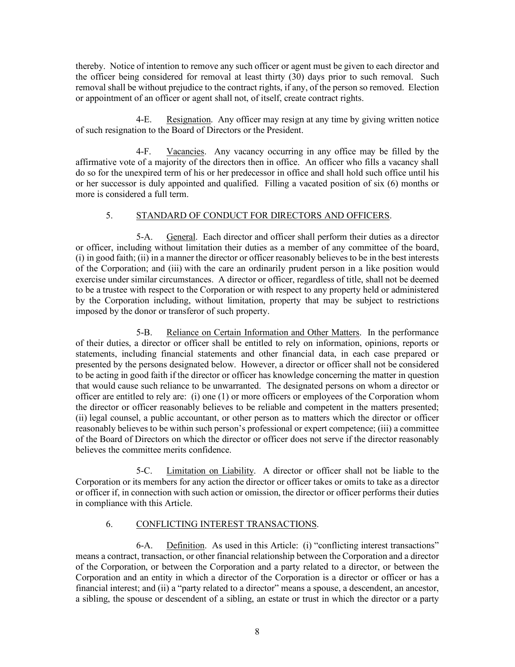thereby. Notice of intention to remove any such officer or agent must be given to each director and the officer being considered for removal at least thirty (30) days prior to such removal. Such removal shall be without prejudice to the contract rights, if any, of the person so removed. Election or appointment of an officer or agent shall not, of itself, create contract rights.

4-E. Resignation. Any officer may resign at any time by giving written notice of such resignation to the Board of Directors or the President.

4-F. Vacancies. Any vacancy occurring in any office may be filled by the affirmative vote of a majority of the directors then in office. An officer who fills a vacancy shall do so for the unexpired term of his or her predecessor in office and shall hold such office until his or her successor is duly appointed and qualified. Filling a vacated position of six (6) months or more is considered a full term.

# 5. STANDARD OF CONDUCT FOR DIRECTORS AND OFFICERS.

5-A. General. Each director and officer shall perform their duties as a director or officer, including without limitation their duties as a member of any committee of the board, (i) in good faith; (ii) in a manner the director or officer reasonably believes to be in the best interests of the Corporation; and (iii) with the care an ordinarily prudent person in a like position would exercise under similar circumstances. A director or officer, regardless of title, shall not be deemed to be a trustee with respect to the Corporation or with respect to any property held or administered by the Corporation including, without limitation, property that may be subject to restrictions imposed by the donor or transferor of such property.

5-B. Reliance on Certain Information and Other Matters. In the performance of their duties, a director or officer shall be entitled to rely on information, opinions, reports or statements, including financial statements and other financial data, in each case prepared or presented by the persons designated below. However, a director or officer shall not be considered to be acting in good faith if the director or officer has knowledge concerning the matter in question that would cause such reliance to be unwarranted. The designated persons on whom a director or officer are entitled to rely are: (i) one (1) or more officers or employees of the Corporation whom the director or officer reasonably believes to be reliable and competent in the matters presented; (ii) legal counsel, a public accountant, or other person as to matters which the director or officer reasonably believes to be within such person's professional or expert competence; (iii) a committee of the Board of Directors on which the director or officer does not serve if the director reasonably believes the committee merits confidence.

5-C. Limitation on Liability. A director or officer shall not be liable to the Corporation or its members for any action the director or officer takes or omits to take as a director or officer if, in connection with such action or omission, the director or officer performs their duties in compliance with this Article.

# 6. CONFLICTING INTEREST TRANSACTIONS.

6-A. Definition. As used in this Article: (i) "conflicting interest transactions" means a contract, transaction, or other financial relationship between the Corporation and a director of the Corporation, or between the Corporation and a party related to a director, or between the Corporation and an entity in which a director of the Corporation is a director or officer or has a financial interest; and (ii) a "party related to a director" means a spouse, a descendent, an ancestor, a sibling, the spouse or descendent of a sibling, an estate or trust in which the director or a party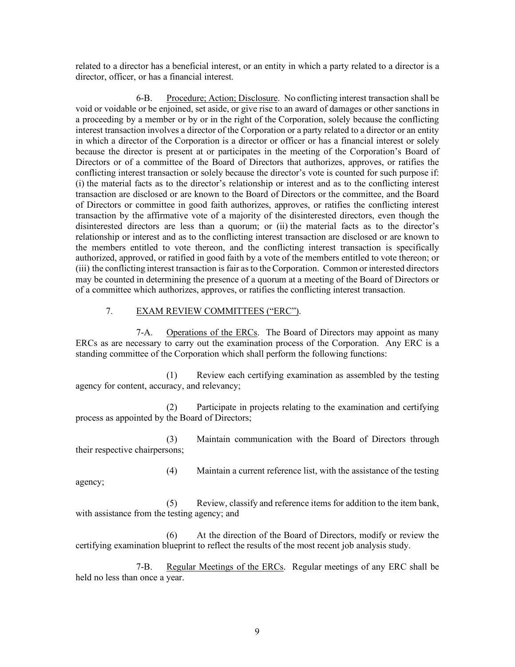related to a director has a beneficial interest, or an entity in which a party related to a director is a director, officer, or has a financial interest.

6-B. Procedure; Action; Disclosure. No conflicting interest transaction shall be void or voidable or be enjoined, set aside, or give rise to an award of damages or other sanctions in a proceeding by a member or by or in the right of the Corporation, solely because the conflicting interest transaction involves a director of the Corporation or a party related to a director or an entity in which a director of the Corporation is a director or officer or has a financial interest or solely because the director is present at or participates in the meeting of the Corporation's Board of Directors or of a committee of the Board of Directors that authorizes, approves, or ratifies the conflicting interest transaction or solely because the director's vote is counted for such purpose if: (i) the material facts as to the director's relationship or interest and as to the conflicting interest transaction are disclosed or are known to the Board of Directors or the committee, and the Board of Directors or committee in good faith authorizes, approves, or ratifies the conflicting interest transaction by the affirmative vote of a majority of the disinterested directors, even though the disinterested directors are less than a quorum; or (ii) the material facts as to the director's relationship or interest and as to the conflicting interest transaction are disclosed or are known to the members entitled to vote thereon, and the conflicting interest transaction is specifically authorized, approved, or ratified in good faith by a vote of the members entitled to vote thereon; or (iii) the conflicting interest transaction is fair as to the Corporation. Common or interested directors may be counted in determining the presence of a quorum at a meeting of the Board of Directors or of a committee which authorizes, approves, or ratifies the conflicting interest transaction.

# 7. EXAM REVIEW COMMITTEES ("ERC").

7-A. Operations of the ERCs. The Board of Directors may appoint as many ERCs as are necessary to carry out the examination process of the Corporation. Any ERC is a standing committee of the Corporation which shall perform the following functions:

(1) Review each certifying examination as assembled by the testing agency for content, accuracy, and relevancy;

(2) Participate in projects relating to the examination and certifying process as appointed by the Board of Directors;

(3) Maintain communication with the Board of Directors through their respective chairpersons;

(4) Maintain a current reference list, with the assistance of the testing agency;

(5) Review, classify and reference items for addition to the item bank, with assistance from the testing agency; and

(6) At the direction of the Board of Directors, modify or review the certifying examination blueprint to reflect the results of the most recent job analysis study.

7-B. Regular Meetings of the ERCs. Regular meetings of any ERC shall be held no less than once a year.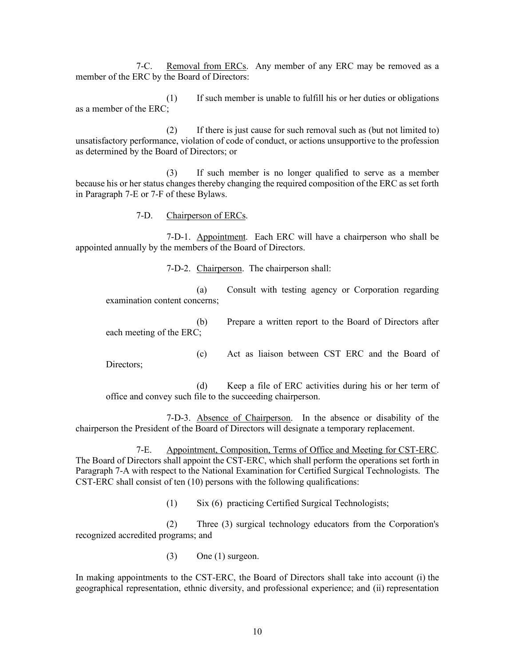7-C. Removal from ERCs. Any member of any ERC may be removed as a member of the ERC by the Board of Directors:

(1) If such member is unable to fulfill his or her duties or obligations as a member of the ERC;

(2) If there is just cause for such removal such as (but not limited to) unsatisfactory performance, violation of code of conduct, or actions unsupportive to the profession as determined by the Board of Directors; or

(3) If such member is no longer qualified to serve as a member because his or her status changes thereby changing the required composition of the ERC as set forth in Paragraph 7-E or 7-F of these Bylaws.

7-D. Chairperson of ERCs.

7-D-1. Appointment. Each ERC will have a chairperson who shall be appointed annually by the members of the Board of Directors.

7-D-2. Chairperson. The chairperson shall:

(a) Consult with testing agency or Corporation regarding examination content concerns;

(b) Prepare a written report to the Board of Directors after each meeting of the ERC;

Directors;

(c) Act as liaison between CST ERC and the Board of

(d) Keep a file of ERC activities during his or her term of office and convey such file to the succeeding chairperson.

7-D-3. Absence of Chairperson. In the absence or disability of the chairperson the President of the Board of Directors will designate a temporary replacement.

7-E. Appointment, Composition, Terms of Office and Meeting for CST-ERC. The Board of Directors shall appoint the CST-ERC, which shall perform the operations set forth in Paragraph 7-A with respect to the National Examination for Certified Surgical Technologists. The CST-ERC shall consist of ten (10) persons with the following qualifications:

(1) Six (6) practicing Certified Surgical Technologists;

(2) Three (3) surgical technology educators from the Corporation's recognized accredited programs; and

(3) One (1) surgeon.

In making appointments to the CST-ERC, the Board of Directors shall take into account (i) the geographical representation, ethnic diversity, and professional experience; and (ii) representation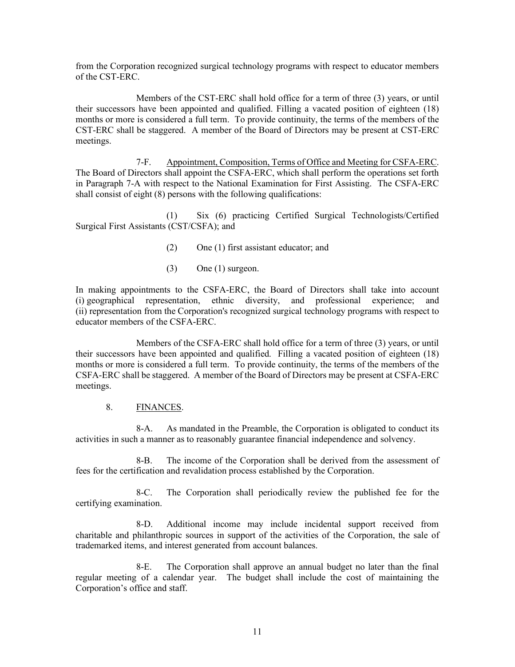from the Corporation recognized surgical technology programs with respect to educator members of the CST-ERC.

Members of the CST-ERC shall hold office for a term of three (3) years, or until their successors have been appointed and qualified. Filling a vacated position of eighteen (18) months or more is considered a full term. To provide continuity, the terms of the members of the CST-ERC shall be staggered. A member of the Board of Directors may be present at CST-ERC meetings.

7-F. Appointment, Composition, Terms of Office and Meeting for CSFA-ERC. The Board of Directors shall appoint the CSFA-ERC, which shall perform the operations set forth in Paragraph 7-A with respect to the National Examination for First Assisting. The CSFA-ERC shall consist of eight (8) persons with the following qualifications:

(1) Six (6) practicing Certified Surgical Technologists/Certified Surgical First Assistants (CST/CSFA); and

- (2) One (1) first assistant educator; and
- (3) One (1) surgeon.

In making appointments to the CSFA-ERC, the Board of Directors shall take into account (i) geographical representation, ethnic diversity, and professional experience; and (ii) representation from the Corporation's recognized surgical technology programs with respect to educator members of the CSFA-ERC.

Members of the CSFA-ERC shall hold office for a term of three (3) years, or until their successors have been appointed and qualified. Filling a vacated position of eighteen (18) months or more is considered a full term. To provide continuity, the terms of the members of the CSFA-ERC shall be staggered. A member of the Board of Directors may be present at CSFA-ERC meetings.

### 8. FINANCES.

8-A. As mandated in the Preamble, the Corporation is obligated to conduct its activities in such a manner as to reasonably guarantee financial independence and solvency.

8-B. The income of the Corporation shall be derived from the assessment of fees for the certification and revalidation process established by the Corporation.

8-C. The Corporation shall periodically review the published fee for the certifying examination.

8-D. Additional income may include incidental support received from charitable and philanthropic sources in support of the activities of the Corporation, the sale of trademarked items, and interest generated from account balances.

8-E. The Corporation shall approve an annual budget no later than the final regular meeting of a calendar year. The budget shall include the cost of maintaining the Corporation's office and staff.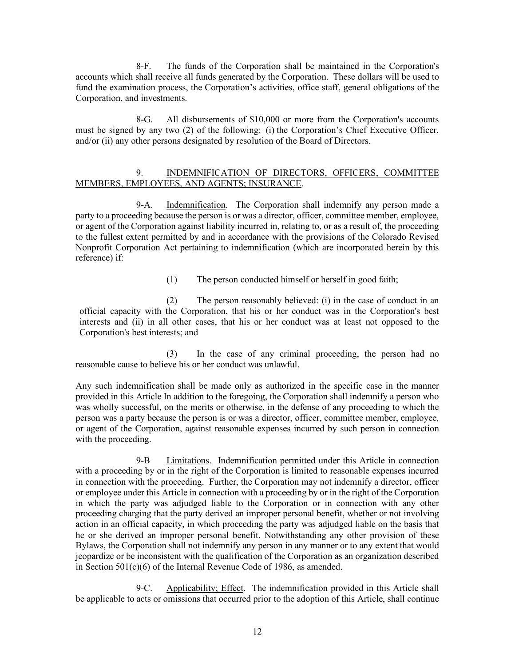8-F. The funds of the Corporation shall be maintained in the Corporation's accounts which shall receive all funds generated by the Corporation. These dollars will be used to fund the examination process, the Corporation's activities, office staff, general obligations of the Corporation, and investments.

8-G. All disbursements of \$10,000 or more from the Corporation's accounts must be signed by any two (2) of the following: (i) the Corporation's Chief Executive Officer, and/or (ii) any other persons designated by resolution of the Board of Directors.

### 9. INDEMNIFICATION OF DIRECTORS, OFFICERS, COMMITTEE MEMBERS, EMPLOYEES, AND AGENTS; INSURANCE.

9-A. Indemnification. The Corporation shall indemnify any person made a party to a proceeding because the person is or was a director, officer, committee member, employee, or agent of the Corporation against liability incurred in, relating to, or as a result of, the proceeding to the fullest extent permitted by and in accordance with the provisions of the Colorado Revised Nonprofit Corporation Act pertaining to indemnification (which are incorporated herein by this reference) if:

(1) The person conducted himself or herself in good faith;

(2) The person reasonably believed: (i) in the case of conduct in an official capacity with the Corporation, that his or her conduct was in the Corporation's best interests and (ii) in all other cases, that his or her conduct was at least not opposed to the Corporation's best interests; and

(3) In the case of any criminal proceeding, the person had no reasonable cause to believe his or her conduct was unlawful.

Any such indemnification shall be made only as authorized in the specific case in the manner provided in this Article In addition to the foregoing, the Corporation shall indemnify a person who was wholly successful, on the merits or otherwise, in the defense of any proceeding to which the person was a party because the person is or was a director, officer, committee member, employee, or agent of the Corporation, against reasonable expenses incurred by such person in connection with the proceeding.

9-B Limitations. Indemnification permitted under this Article in connection with a proceeding by or in the right of the Corporation is limited to reasonable expenses incurred in connection with the proceeding. Further, the Corporation may not indemnify a director, officer or employee under this Article in connection with a proceeding by or in the right of the Corporation in which the party was adjudged liable to the Corporation or in connection with any other proceeding charging that the party derived an improper personal benefit, whether or not involving action in an official capacity, in which proceeding the party was adjudged liable on the basis that he or she derived an improper personal benefit. Notwithstanding any other provision of these Bylaws, the Corporation shall not indemnify any person in any manner or to any extent that would jeopardize or be inconsistent with the qualification of the Corporation as an organization described in Section 501(c)(6) of the Internal Revenue Code of 1986, as amended.

9-C. Applicability; Effect. The indemnification provided in this Article shall be applicable to acts or omissions that occurred prior to the adoption of this Article, shall continue